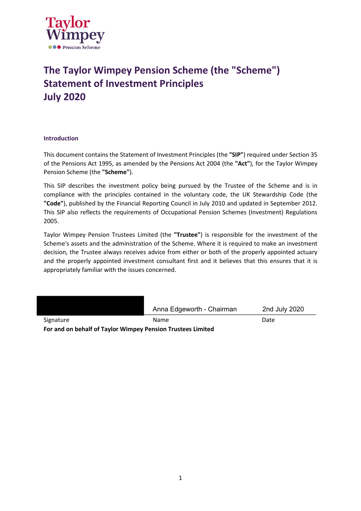

# **The Taylor Wimpey Pension Scheme (the "Scheme") Statement of Investment Principles July 2020**

# **Introduction**

This document contains the Statement of Investment Principles (the **"SIP"**) required under Section 35 of the Pensions Act 1995, as amended by the Pensions Act 2004 (the **"Act"**), for the Taylor Wimpey Pension Scheme (the **"Scheme"**).

This SIP describes the investment policy being pursued by the Trustee of the Scheme and is in compliance with the principles contained in the voluntary code, the UK Stewardship Code (the **"Code"**), published by the Financial Reporting Council in July 2010 and updated in September 2012. This SIP also reflects the requirements of Occupational Pension Schemes (Investment) Regulations 2005.

Taylor Wimpey Pension Trustees Limited (the **"Trustee"**) is responsible for the investment of the Scheme's assets and the administration of the Scheme. Where it is required to make an investment decision, the Trustee always receives advice from either or both of the properly appointed actuary and the properly appointed investment consultant first and it believes that this ensures that it is appropriately familiar with the issues concerned.

|                                                             | Anna Edgeworth - Chairman | 2nd July 2020 |
|-------------------------------------------------------------|---------------------------|---------------|
| Signature                                                   | <b>Name</b>               | Date          |
| For and on behalf of Taylor Wimpey Pension Trustees Limited |                           |               |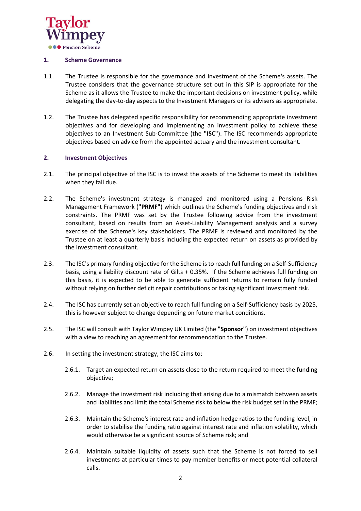

# **1. Scheme Governance**

- 1.1. The Trustee is responsible for the governance and investment of the Scheme's assets. The Trustee considers that the governance structure set out in this SIP is appropriate for the Scheme as it allows the Trustee to make the important decisions on investment policy, while delegating the day-to-day aspects to the Investment Managers or its advisers as appropriate.
- 1.2. The Trustee has delegated specific responsibility for recommending appropriate investment objectives and for developing and implementing an investment policy to achieve these objectives to an Investment Sub-Committee (the **"ISC"**). The ISC recommends appropriate objectives based on advice from the appointed actuary and the investment consultant.

# **2. Investment Objectives**

- 2.1. The principal objective of the ISC is to invest the assets of the Scheme to meet its liabilities when they fall due.
- 2.2. The Scheme's investment strategy is managed and monitored using a Pensions Risk Management Framework (**"PRMF"**) which outlines the Scheme's funding objectives and risk constraints. The PRMF was set by the Trustee following advice from the investment consultant, based on results from an Asset-Liability Management analysis and a survey exercise of the Scheme's key stakeholders. The PRMF is reviewed and monitored by the Trustee on at least a quarterly basis including the expected return on assets as provided by the investment consultant.
- 2.3. The ISC's primary funding objective for the Scheme is to reach full funding on a Self-Sufficiency basis, using a liability discount rate of Gilts + 0.35%. If the Scheme achieves full funding on this basis, it is expected to be able to generate sufficient returns to remain fully funded without relying on further deficit repair contributions or taking significant investment risk.
- 2.4. The ISC has currently set an objective to reach full funding on a Self-Sufficiency basis by 2025, this is however subject to change depending on future market conditions.
- 2.5. The ISC will consult with Taylor Wimpey UK Limited (the **"Sponsor"**) on investment objectives with a view to reaching an agreement for recommendation to the Trustee.
- 2.6. In setting the investment strategy, the ISC aims to:
	- 2.6.1. Target an expected return on assets close to the return required to meet the funding objective;
	- 2.6.2. Manage the investment risk including that arising due to a mismatch between assets and liabilities and limit the total Scheme risk to below the risk budget set in the PRMF;
	- 2.6.3. Maintain the Scheme's interest rate and inflation hedge ratios to the funding level, in order to stabilise the funding ratio against interest rate and inflation volatility, which would otherwise be a significant source of Scheme risk; and
	- 2.6.4. Maintain suitable liquidity of assets such that the Scheme is not forced to sell investments at particular times to pay member benefits or meet potential collateral calls.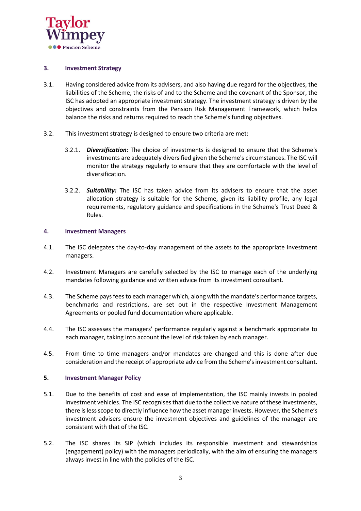

### **3. Investment Strategy**

- 3.1. Having considered advice from its advisers, and also having due regard for the objectives, the liabilities of the Scheme, the risks of and to the Scheme and the covenant of the Sponsor, the ISC has adopted an appropriate investment strategy. The investment strategy is driven by the objectives and constraints from the Pension Risk Management Framework, which helps balance the risks and returns required to reach the Scheme's funding objectives.
- 3.2. This investment strategy is designed to ensure two criteria are met:
	- 3.2.1. *Diversification:* The choice of investments is designed to ensure that the Scheme's investments are adequately diversified given the Scheme's circumstances. The ISC will monitor the strategy regularly to ensure that they are comfortable with the level of diversification.
	- 3.2.2. *Suitability:* The ISC has taken advice from its advisers to ensure that the asset allocation strategy is suitable for the Scheme, given its liability profile, any legal requirements, regulatory guidance and specifications in the Scheme's Trust Deed & Rules.

# **4. Investment Managers**

- 4.1. The ISC delegates the day-to-day management of the assets to the appropriate investment managers.
- 4.2. Investment Managers are carefully selected by the ISC to manage each of the underlying mandates following guidance and written advice from its investment consultant.
- 4.3. The Scheme pays fees to each manager which, along with the mandate's performance targets, benchmarks and restrictions, are set out in the respective Investment Management Agreements or pooled fund documentation where applicable.
- 4.4. The ISC assesses the managers' performance regularly against a benchmark appropriate to each manager, taking into account the level of risk taken by each manager.
- 4.5. From time to time managers and/or mandates are changed and this is done after due consideration and the receipt of appropriate advice from the Scheme's investment consultant.

# **5. Investment Manager Policy**

- 5.1. Due to the benefits of cost and ease of implementation, the ISC mainly invests in pooled investment vehicles. The ISC recognises that due to the collective nature of these investments, there is less scope to directly influence how the asset manager invests. However, the Scheme's investment advisers ensure the investment objectives and guidelines of the manager are consistent with that of the ISC.
- 5.2. The ISC shares its SIP (which includes its responsible investment and stewardships (engagement) policy) with the managers periodically, with the aim of ensuring the managers always invest in line with the policies of the ISC.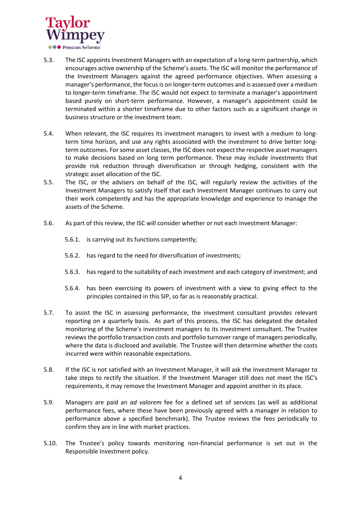

- 5.3. The ISC appoints Investment Managers with an expectation of a long-term partnership, which encourages active ownership of the Scheme's assets. The ISC will monitor the performance of the Investment Managers against the agreed performance objectives. When assessing a manager's performance, the focus is on longer-term outcomes and is assessed over a medium to longer-term timeframe. The ISC would not expect to terminate a manager's appointment based purely on short-term performance. However, a manager's appointment could be terminated within a shorter timeframe due to other factors such as a significant change in business structure or the investment team.
- 5.4. When relevant, the ISC requires its investment managers to invest with a medium to longterm time horizon, and use any rights associated with the investment to drive better longterm outcomes. For some asset classes, the ISC does not expect the respective asset managers to make decisions based on long term performance. These may include investments that provide risk reduction through diversification or through hedging, consistent with the strategic asset allocation of the ISC.
- 5.5. The ISC, or the advisers on behalf of the ISC, will regularly review the activities of the Investment Managers to satisfy itself that each Investment Manager continues to carry out their work competently and has the appropriate knowledge and experience to manage the assets of the Scheme.
- 5.6. As part of this review, the ISC will consider whether or not each Investment Manager:
	- 5.6.1. is carrying out its functions competently;
	- 5.6.2. has regard to the need for diversification of investments;
	- 5.6.3. has regard to the suitability of each investment and each category of investment; and
	- 5.6.4. has been exercising its powers of investment with a view to giving effect to the principles contained in this SIP, so far as is reasonably practical.
- 5.7. To assist the ISC in assessing performance, the investment consultant provides relevant reporting on a quarterly basis. As part of this process, the ISC has delegated the detailed monitoring of the Scheme's investment managers to its investment consultant. The Trustee reviews the portfolio transaction costs and portfolio turnover range of managers periodically, where the data is disclosed and available. The Trustee will then determine whether the costs incurred were within reasonable expectations.
- 5.8. If the ISC is not satisfied with an Investment Manager, it will ask the Investment Manager to take steps to rectify the situation. If the Investment Manager still does not meet the ISC's requirements, it may remove the Investment Manager and appoint another in its place.
- 5.9. Managers are paid an *ad valorem* fee for a defined set of services (as well as additional performance fees, where these have been previously agreed with a manager in relation to performance above a specified benchmark). The Trustee reviews the fees periodically to confirm they are in line with market practices.
- 5.10. The Trustee's policy towards monitoring non-financial performance is set out in the Responsible Investment policy.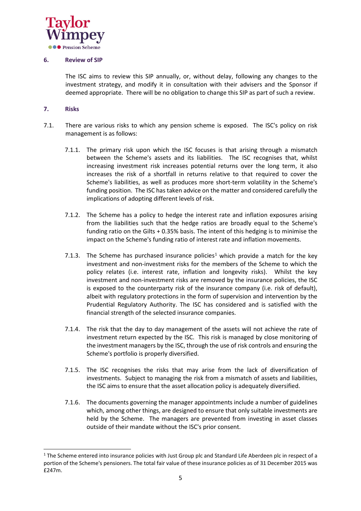

# **6. Review of SIP**

The ISC aims to review this SIP annually, or, without delay, following any changes to the investment strategy, and modify it in consultation with their advisers and the Sponsor if deemed appropriate. There will be no obligation to change this SIP as part of such a review.

# **7. Risks**

- 7.1. There are various risks to which any pension scheme is exposed. The ISC's policy on risk management is as follows:
	- 7.1.1. The primary risk upon which the ISC focuses is that arising through a mismatch between the Scheme's assets and its liabilities. The ISC recognises that, whilst increasing investment risk increases potential returns over the long term, it also increases the risk of a shortfall in returns relative to that required to cover the Scheme's liabilities, as well as produces more short-term volatility in the Scheme's funding position. The ISC has taken advice on the matter and considered carefully the implications of adopting different levels of risk.
	- 7.1.2. The Scheme has a policy to hedge the interest rate and inflation exposures arising from the liabilities such that the hedge ratios are broadly equal to the Scheme's funding ratio on the Gilts + 0.35% basis. The intent of this hedging is to minimise the impact on the Scheme's funding ratio of interest rate and inflation movements.
	- 7.1.3. The Scheme has purchased insurance policies<sup>1</sup> which provide a match for the key investment and non-investment risks for the members of the Scheme to which the policy relates (i.e. interest rate, inflation and longevity risks). Whilst the key investment and non-investment risks are removed by the insurance policies, the ISC is exposed to the counterparty risk of the insurance company (i.e. risk of default), albeit with regulatory protections in the form of supervision and intervention by the Prudential Regulatory Authority. The ISC has considered and is satisfied with the financial strength of the selected insurance companies.
	- 7.1.4. The risk that the day to day management of the assets will not achieve the rate of investment return expected by the ISC. This risk is managed by close monitoring of the investment managers by the ISC, through the use of risk controls and ensuring the Scheme's portfolio is properly diversified.
	- 7.1.5. The ISC recognises the risks that may arise from the lack of diversification of investments. Subject to managing the risk from a mismatch of assets and liabilities, the ISC aims to ensure that the asset allocation policy is adequately diversified.
	- 7.1.6. The documents governing the manager appointments include a number of guidelines which, among other things, are designed to ensure that only suitable investments are held by the Scheme. The managers are prevented from investing in asset classes outside of their mandate without the ISC's prior consent.

<sup>&</sup>lt;sup>1</sup> The Scheme entered into insurance policies with Just Group plc and Standard Life Aberdeen plc in respect of a portion of the Scheme's pensioners. The total fair value of these insurance policies as of 31 December 2015 was £247m.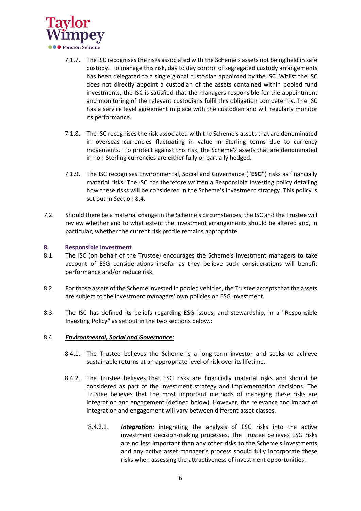

- 7.1.7. The ISC recognises the risks associated with the Scheme's assets not being held in safe custody. To manage this risk, day to day control of segregated custody arrangements has been delegated to a single global custodian appointed by the ISC. Whilst the ISC does not directly appoint a custodian of the assets contained within pooled fund investments, the ISC is satisfied that the managers responsible for the appointment and monitoring of the relevant custodians fulfil this obligation competently. The ISC has a service level agreement in place with the custodian and will regularly monitor its performance.
- 7.1.8. The ISC recognises the risk associated with the Scheme's assets that are denominated in overseas currencies fluctuating in value in Sterling terms due to currency movements. To protect against this risk, the Scheme's assets that are denominated in non-Sterling currencies are either fully or partially hedged.
- 7.1.9. The ISC recognises Environmental, Social and Governance (**"ESG"**) risks as financially material risks. The ISC has therefore written a Responsible Investing policy detailing how these risks will be considered in the Scheme's investment strategy. This policy is set out in Section 8.4.
- 7.2. Should there be a material change in the Scheme's circumstances, the ISC and the Trustee will review whether and to what extent the investment arrangements should be altered and, in particular, whether the current risk profile remains appropriate.

# **8. Responsible Investment**

- 8.1. The ISC (on behalf of the Trustee) encourages the Scheme's investment managers to take account of ESG considerations insofar as they believe such considerations will benefit performance and/or reduce risk.
- 8.2. For those assets of the Scheme invested in pooled vehicles, the Trustee accepts that the assets are subject to the investment managers' own policies on ESG investment.
- 8.3. The ISC has defined its beliefs regarding ESG issues, and stewardship, in a "Responsible Investing Policy" as set out in the two sections below.:

#### 8.4. *Environmental, Social and Governance:*

- 8.4.1. The Trustee believes the Scheme is a long-term investor and seeks to achieve sustainable returns at an appropriate level of risk over its lifetime.
- 8.4.2. The Trustee believes that ESG risks are financially material risks and should be considered as part of the investment strategy and implementation decisions. The Trustee believes that the most important methods of managing these risks are integration and engagement (defined below). However, the relevance and impact of integration and engagement will vary between different asset classes.
	- 8.4.2.1. *Integration:* integrating the analysis of ESG risks into the active investment decision-making processes. The Trustee believes ESG risks are no less important than any other risks to the Scheme's investments and any active asset manager's process should fully incorporate these risks when assessing the attractiveness of investment opportunities.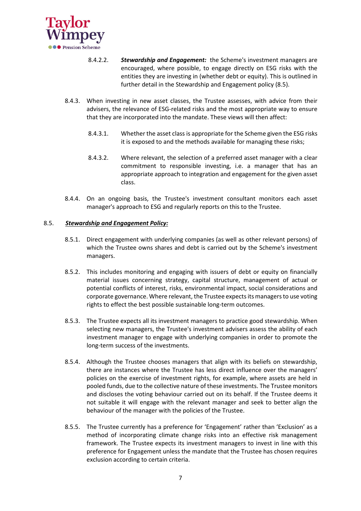

- 8.4.2.2. *Stewardship and Engagement:* the Scheme's investment managers are encouraged, where possible, to engage directly on ESG risks with the entities they are investing in (whether debt or equity). This is outlined in further detail in the Stewardship and Engagement policy (8.5).
- 8.4.3. When investing in new asset classes, the Trustee assesses, with advice from their advisers, the relevance of ESG-related risks and the most appropriate way to ensure that they are incorporated into the mandate. These views will then affect:
	- 8.4.3.1. Whether the asset class is appropriate for the Scheme given the ESG risks it is exposed to and the methods available for managing these risks;
	- 8.4.3.2. Where relevant, the selection of a preferred asset manager with a clear commitment to responsible investing, i.e. a manager that has an appropriate approach to integration and engagement for the given asset class.
- 8.4.4. On an ongoing basis, the Trustee's investment consultant monitors each asset manager's approach to ESG and regularly reports on this to the Trustee.

# 8.5. *Stewardship and Engagement Policy:*

- 8.5.1. Direct engagement with underlying companies (as well as other relevant persons) of which the Trustee owns shares and debt is carried out by the Scheme's investment managers.
- 8.5.2. This includes monitoring and engaging with issuers of debt or equity on financially material issues concerning strategy, capital structure, management of actual or potential conflicts of interest, risks, environmental impact, social considerations and corporate governance. Where relevant, the Trustee expects its managers to use voting rights to effect the best possible sustainable long-term outcomes.
- 8.5.3. The Trustee expects all its investment managers to practice good stewardship. When selecting new managers, the Trustee's investment advisers assess the ability of each investment manager to engage with underlying companies in order to promote the long-term success of the investments.
- 8.5.4. Although the Trustee chooses managers that align with its beliefs on stewardship, there are instances where the Trustee has less direct influence over the managers' policies on the exercise of investment rights, for example, where assets are held in pooled funds, due to the collective nature of these investments. The Trustee monitors and discloses the voting behaviour carried out on its behalf. If the Trustee deems it not suitable it will engage with the relevant manager and seek to better align the behaviour of the manager with the policies of the Trustee.
- 8.5.5. The Trustee currently has a preference for 'Engagement' rather than 'Exclusion' as a method of incorporating climate change risks into an effective risk management framework. The Trustee expects its investment managers to invest in line with this preference for Engagement unless the mandate that the Trustee has chosen requires exclusion according to certain criteria.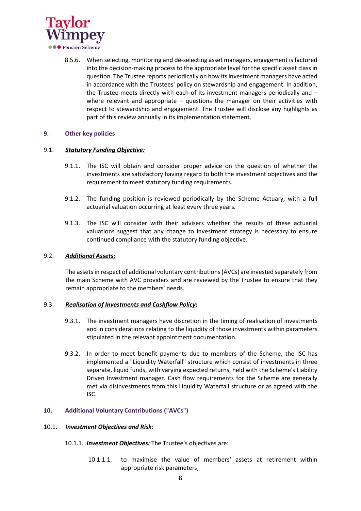

8.5.6. When selecting, monitoring and de-selecting asset managers, engagement is factored into the decision-making process to the appropriate level for the specific asset class in question. The Trustee reports periodically on how its investment managers have acted in accordance with the Trustees' policy on stewardship and engagement. In addition, the Trustee meets directly with each of its investment managers periodically and – where relevant and appropriate – questions the manager on their activities with respect to stewardship and engagement. The Trustee will disclose any highlights as part of this review annually in its implementation statement.

# **9. Other key policies**

# 9.1. *Statutory Funding Objective:*

- 9.1.1. The ISC will obtain and consider proper advice on the question of whether the investments are satisfactory having regard to both the investment objectives and the requirement to meet statutory funding requirements.
- 9.1.2. The funding position is reviewed periodically by the Scheme Actuary, with a full actuarial valuation occurring at least every three years.
- 9.1.3. The ISC will consider with their advisers whether the results of these actuarial valuations suggest that any change to investment strategy is necessary to ensure continued compliance with the statutory funding objective.

# 9.2. *Additional Assets:*

The assets in respect of additional voluntary contributions (AVCs) are invested separately from the main Scheme with AVC providers and are reviewed by the Trustee to ensure that they remain appropriate to the members' needs.

# 9.3. *Realisation of Investments and Cashflow Policy:*

- 9.3.1. The investment managers have discretion in the timing of realisation of investments and in considerations relating to the liquidity of those investments within parameters stipulated in the relevant appointment documentation.
- 9.3.2. In order to meet benefit payments due to members of the Scheme, the ISC has implemented a "Liquidity Waterfall" structure which consist of investments in three separate, liquid funds, with varying expected returns, held with the Scheme's Liability Driven Investment manager. Cash flow requirements for the Scheme are generally met via disinvestments from this Liquidity Waterfall structure or as agreed with the ISC.

# **10. Additional Voluntary Contributions ("AVCs")**

# 10.1. *Investment Objectives and Risk:*

- 10.1.1. *Investment Objectives:* The Trustee's objectives are:
	- 10.1.1.1. to maximise the value of members' assets at retirement within appropriate risk parameters;